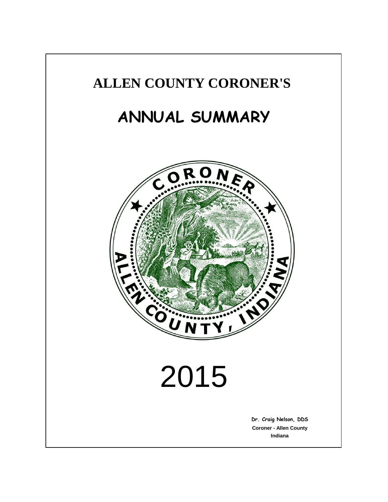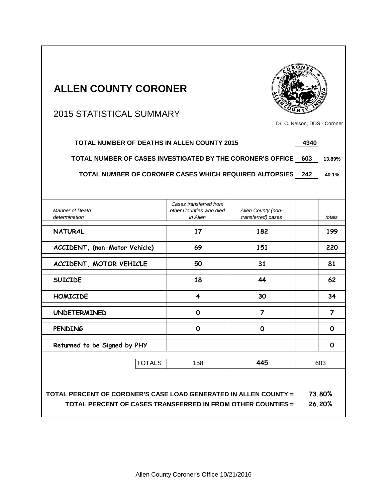| <b>ALLEN COUNTY CORONER</b><br><b>2015 STATISTICAL SUMMARY</b>                                                                  |                                                               |                                          | Dr. C. Nelson, DDS - Coroner |                |
|---------------------------------------------------------------------------------------------------------------------------------|---------------------------------------------------------------|------------------------------------------|------------------------------|----------------|
| <b>TOTAL NUMBER OF DEATHS IN ALLEN COUNTY 2015</b>                                                                              |                                                               |                                          | 4340                         |                |
| TOTAL NUMBER OF CASES INVESTIGATED BY THE CORONER'S OFFICE 603                                                                  |                                                               |                                          |                              | 13.89%         |
| TOTAL NUMBER OF CORONER CASES WHICH REQUIRED AUTOPSIES 242                                                                      |                                                               |                                          |                              | 40.1%          |
|                                                                                                                                 |                                                               |                                          |                              |                |
| <b>Manner of Death</b><br>determination                                                                                         | Cases transferred from<br>other Counties who died<br>in Allen | Allen County (non-<br>transferred) cases |                              | totals         |
| <b>NATURAL</b>                                                                                                                  | 17                                                            | 182                                      |                              | 199            |
| ACCIDENT, (non-Motor Vehicle)                                                                                                   | 69                                                            | 151                                      |                              | 220            |
| ACCIDENT, MOTOR VEHICLE                                                                                                         | 50                                                            | 31                                       |                              | 81             |
| <b>SUICIDE</b>                                                                                                                  | 18                                                            | 44                                       |                              | 62             |
| <b>HOMICIDE</b>                                                                                                                 | 4                                                             | 30                                       |                              | 34             |
| <b>UNDETERMINED</b>                                                                                                             | 0                                                             | 7                                        |                              | $\overline{7}$ |
| <b>PENDING</b>                                                                                                                  | O                                                             | O                                        |                              | O              |
| Returned to be Signed by PHY                                                                                                    |                                                               |                                          |                              | 0              |
| <b>TOTALS</b>                                                                                                                   | 158                                                           | 445                                      |                              | 603            |
| TOTAL PERCENT OF CORONER'S CASE LOAD GENERATED IN ALLEN COUNTY =<br>TOTAL PERCENT OF CASES TRANSFERRED IN FROM OTHER COUNTIES = |                                                               |                                          | 26.20%                       | 73.80%         |

 $\mathsf{I}$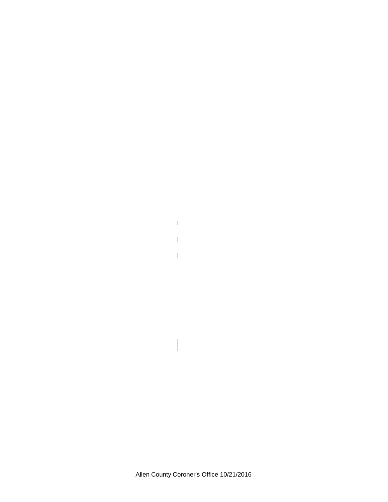Allen County Coroner's Office 10/21/2016

 $\mathbf I$ 

 $\mathbf{I}$ 

 $\mathbf{I}$ 

 $\begin{array}{c} \hline \end{array}$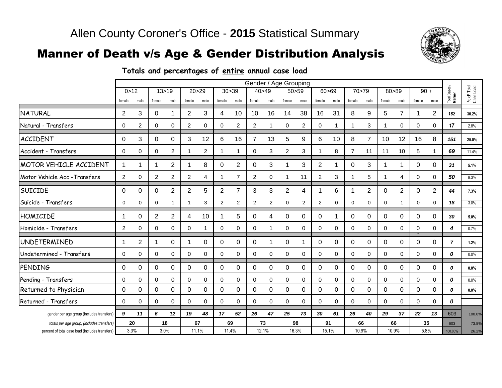#### Manner of Death v/s Age & Gender Distribution Analysis



**Totals and percentages of entire annual case load**

|                                                  |                |                |                |                |                |                |                |                |                |             | Gender / Age Grouping |                |                |             |             |                |             |                          |             |                |                                |                         |
|--------------------------------------------------|----------------|----------------|----------------|----------------|----------------|----------------|----------------|----------------|----------------|-------------|-----------------------|----------------|----------------|-------------|-------------|----------------|-------------|--------------------------|-------------|----------------|--------------------------------|-------------------------|
|                                                  | 0 > 12         |                | 13 > 19        |                | 20 > 29        |                |                | 30 > 39        |                | 40 > 49     | 50 > 59               |                | 60 > 69        |             |             | 70>79          | 80>89       |                          | $90 +$      |                | Total Cases /<br><b>Manner</b> | % oF Total<br>Case Load |
|                                                  | female         | male           | female         | male           | female         | male           | female         | male           | female         | male        | female                | male           | female         | male        | female      | male           | female      | male                     | female      | male           |                                |                         |
| NATURAL                                          | $\overline{2}$ | 3              | 0              | 1              | $\overline{2}$ | 3              | 4              | 10             | 10             | 16          | 14                    | 38             | 16             | 31          | 8           | 9              | 5           | $\overline{7}$           | 1           | $\overline{2}$ | 182                            | 30.2%                   |
| Natural - Transfers                              | 0              | $\overline{c}$ | 0              | 0              | 2              | $\mathbf 0$    | 0              | $\overline{c}$ | 2              |             | 0                     | $\overline{2}$ | 0              | 1           |             | 3              | 1           | 0                        | 0           | $\Omega$       | 17                             | 2.8%                    |
| <b>ACCIDENT</b>                                  | $\Omega$       | 3              | $\Omega$       | $\Omega$       | 3              | 12             | 6              | 16             | $\overline{7}$ | 13          | 5                     | 9              | 6              | 10          | 8           | $\overline{7}$ | 10          | 12                       | 16          | 8              | 151                            | 25.0%                   |
| Accident - Transfers                             | 0              | 0              | 0              | $\overline{c}$ | 1              | $\overline{c}$ |                |                | 0              | 3           | $\overline{c}$        | 3              |                | 8           |             | 11             | 11          | 10                       | 5           |                | 69                             | 11.4%                   |
| MOTOR VEHICLE ACCIDENT                           | 1              | $\overline{1}$ | 1              | $\overline{2}$ | 1              | 8              | $\mathbf 0$    | $\overline{2}$ | $\mathbf 0$    | 3           | 1                     | 3              | 2              | $\mathbf 1$ | $\mathbf 0$ | 3              | $\mathbf 1$ | $\overline{\phantom{a}}$ | $\mathbf 0$ | 0              | 31                             | 5.1%                    |
| Motor Vehicle Acc -Transfers                     | $\overline{2}$ | 0              | 2              | $\overline{2}$ | 2              | 4              | 1              | 7              | $\overline{2}$ | 0           | 1                     | 11             | 2              | 3           |             | 5              | 1           | 4                        | 0           | 0              | 50                             | 8.3%                    |
| SUICIDE                                          | $\mathbf 0$    | 0              | 0              | $\overline{2}$ | $\overline{2}$ | 5              | $\overline{2}$ | $\overline{7}$ | 3              | 3           | $\overline{2}$        | 4              | 1              | 6           | 1           | $\overline{2}$ | 0           | $\overline{2}$           | 0           | $\overline{2}$ | 44                             | 7.3%                    |
| Suicide - Transfers                              | $\mathbf 0$    | $\mathbf 0$    | $\mathbf 0$    | $\mathbf 1$    | 1              | 3              | 2              | $\overline{2}$ | $\overline{2}$ | 2           | 0                     | $\overline{2}$ | $\overline{2}$ | $\mathbf 0$ | 0           | $\mathbf 0$    | 0           | $\overline{\phantom{a}}$ | $\mathbf 0$ | 0              | 18                             | 3.0%                    |
| HOMICIDE                                         | $\mathbf 1$    | 0              | $\overline{2}$ | $\overline{2}$ | 4              | 10             | 1              | 5              | 0              | 4           | $\pmb{0}$             | 0              | 0              | 1           | 0           | 0              | 0           | 0                        | 0           | 0              | 30                             | 5.0%                    |
| Homicide - Transfers                             | 2              | 0              | 0              | $\mathbf 0$    | 0              | $\mathbf 1$    | 0              | $\mathbf 0$    | 0              |             | $\mathbf 0$           | 0              | $\Omega$       | $\mathbf 0$ | 0           | 0              | 0           | 0                        | 0           | $\Omega$       | 4                              | 0.7%                    |
| UNDETERMINED                                     | $\mathbf 1$    | $\overline{2}$ | 1              | 0              | 1              | 0              | 0              | 0              | 0              |             | 0                     |                | $\Omega$       | $\mathbf 0$ | 0           | 0              | 0           | $\mathbf 0$              | 0           | 0              | $\overline{7}$                 | 1.2%                    |
| Undetermined - Transfers                         | 0              | $\mathbf 0$    | 0              | $\mathbf 0$    | 0              | $\mathbf 0$    | 0              | $\mathbf 0$    | 0              | $\mathbf 0$ | 0                     | $\mathbf 0$    | 0              | $\mathbf 0$ | 0           | $\mathbf 0$    | 0           | $\mathbf 0$              | 0           | 0              | 0                              | 0.0%                    |
| PENDING                                          | $\mathbf 0$    | $\Omega$       | 0              | $\Omega$       | 0              | $\overline{0}$ | $\Omega$       | $\Omega$       | $\mathbf 0$    | $\mathbf 0$ | 0                     | 0              | $\Omega$       | $\mathbf 0$ | 0           | $\Omega$       | $\Omega$    | 0                        | 0           | $\Omega$       | 0                              | $0.0\%$                 |
| Pending - Transfers                              | 0              | 0              | 0              | $\mathbf 0$    | 0              | 0              | 0              | 0              | 0              | 0           | 0                     | 0              | $\Omega$       | 0           | 0           | 0              | 0           | 0                        | 0           | 0              | 0                              | 0.0%                    |
| Returned to Physician                            | $\Omega$       | 0              | $\Omega$       | $\Omega$       | 0              | 0              | $\Omega$       | $\Omega$       | 0              | 0           | 0                     | 0              | $\Omega$       | 0           | 0           | 0              | 0           | 0                        | 0           | 0              | 0                              | $0.0\%$                 |
| Returned - Transfers                             | $\Omega$       | 0              | 0              | $\mathbf 0$    | 0              | $\mathbf 0$    | 0              | $\mathbf 0$    | 0              | $\mathbf 0$ | 0                     | $\Omega$       | 0              | $\mathbf 0$ | 0           | $\Omega$       | 0           | $\mathbf 0$              | 0           | $\Omega$       | 0                              |                         |
| gender per age group (includes transfers)        | 9              | 11             | 6              | 12             | 19             | 48             | 17             | 52             | 26             | 47          | 25                    | 73             | 30             | 61          | 26          | 40             | 29          | 37                       | 22          | 13             | 603                            | 100.0%                  |
| totals per age group, (includes transfers)       |                | 20             | 18             |                | 67             |                |                | 69             |                | 73          | 98                    |                | 91             |             | 66          |                | 66          |                          | 35          |                | 603                            | 73.8%                   |
| percent of total case load (includes transfers): |                | 3.3%           | 3.0%           |                | 11.1%          |                |                | 11.4%          |                | 12.1%       | 16.3%                 |                | 15.1%          |             | 10.9%       |                | 10.9%       |                          | 5.8%        |                | 100.00%                        | 26.2%                   |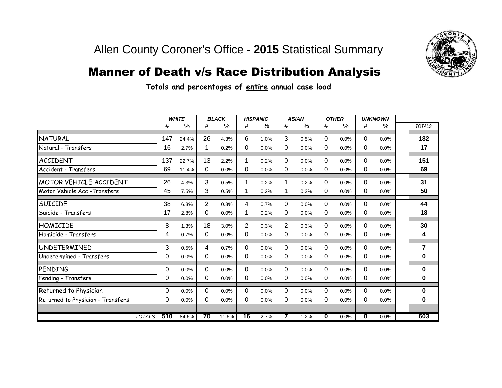

### Manner of Death v/s Race Distribution Analysis

**Totals and percentages of entire annual case load**

|                                   |             | <b>WHITE</b> |    | <b>BLACK</b> |                | <b>HISPANIC</b> |                | <b>ASIAN</b> |             | <b>OTHER</b> |          | <b>UNKNOWN</b> |               |
|-----------------------------------|-------------|--------------|----|--------------|----------------|-----------------|----------------|--------------|-------------|--------------|----------|----------------|---------------|
|                                   | #           | $\%$         | #  | %            | #              | $\%$            | #              | $\%$         | #           | $\%$         | #        | %              | <b>TOTALS</b> |
| <b>NATURAL</b>                    | 147         | 24.4%        | 26 | 4.3%         | 6              | 1.0%            | 3              | 0.5%         | 0           | 0.0%         | $\Omega$ | 0.0%           | 182           |
| Natural - Transfers               | 16          | 2.7%         | 1  | 0.2%         | 0              | 0.0%            | 0              | 0.0%         | 0           | 0.0%         | 0        | 0.0%           | 17            |
| <b>ACCIDENT</b>                   | 137         | 22.7%        | 13 | 2.2%         |                | 0.2%            | 0              | 0.0%         | 0           | 0.0%         | 0        | 0.0%           | 151           |
| Accident - Transfers              | 69          | 11.4%        | 0  | 0.0%         | 0              | 0.0%            | 0              | 0.0%         | 0           | 0.0%         | 0        | 0.0%           | 69            |
| MOTOR VEHICLE ACCIDENT            | 26          | 4.3%         | 3  | 0.5%         |                | 0.2%            | 1              | 0.2%         | 0           | 0.0%         | 0        | 0.0%           | 31            |
| Motor Vehicle Acc - Transfers     | 45          | 7.5%         | 3  | 0.5%         |                | 0.2%            |                | 0.2%         | 0           | 0.0%         | 0        | 0.0%           | 50            |
| SUICIDE                           | 38          | 6.3%         | 2  | 0.3%         | 4              | 0.7%            | 0              | 0.0%         | $\Omega$    | 0.0%         | 0        | 0.0%           | 44            |
| Suicide - Transfers               | 17          | 2.8%         | 0  | 0.0%         |                | 0.2%            | 0              | 0.0%         | 0           | 0.0%         | 0        | 0.0%           | 18            |
| HOMICIDE                          | 8           | 1.3%         | 18 | 3.0%         | $\overline{2}$ | 0.3%            | $\overline{2}$ | 0.3%         | 0           | 0.0%         | 0        | 0.0%           | 30            |
| Homicide - Transfers              | 4           | 0.7%         | 0  | 0.0%         | 0              | 0.0%            | 0              | 0.0%         | 0           | 0.0%         | 0        | 0.0%           | 4             |
| <b>UNDETERMINED</b>               | 3           | 0.5%         | 4  | 0.7%         | 0              | 0.0%            | 0              | 0.0%         | 0           | 0.0%         | 0        | 0.0%           | 7             |
| Undetermined - Transfers          | 0           | 0.0%         | 0  | 0.0%         | 0              | 0.0%            | 0              | 0.0%         | 0           | 0.0%         | 0        | 0.0%           | 0             |
| PENDING                           | $\mathbf 0$ | 0.0%         | 0  | 0.0%         | $\Omega$       | 0.0%            | $\mathbf 0$    | 0.0%         | $\Omega$    | 0.0%         | $\Omega$ | 0.0%           | 0             |
| Pending - Transfers               | 0           | 0.0%         | 0  | 0.0%         | 0              | 0.0%            | 0              | 0.0%         | 0           | 0.0%         | 0        | 0.0%           | 0             |
| Returned to Physician             | $\mathbf 0$ | 0.0%         | 0  | 0.0%         | 0              | 0.0%            | 0              | 0.0%         | 0           | 0.0%         | 0        | 0.0%           | 0             |
| Returned to Physician - Transfers | 0           | 0.0%         | 0  | 0.0%         | 0              | 0.0%            | 0              | 0.0%         | 0           | 0.0%         | 0        | 0.0%           | 0             |
|                                   |             |              |    |              |                |                 |                |              |             |              |          |                |               |
| <b>TOTALS</b>                     | 510         | 84.6%        | 70 | 11.6%        | 16             | 2.7%            | 7              | 1.2%         | $\mathbf 0$ | 0.0%         | 0        | 0.0%           | 603           |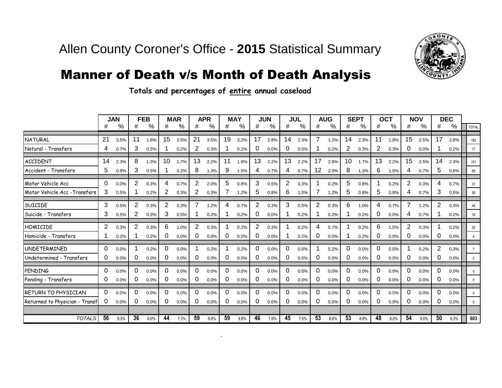

# Manner of Death v/s Month of Death Analysis

**Totals and percentages of entire annual caseload**

.

|                                |          | <b>JAN</b> |                | <b>FEB</b> |    | <b>MAR</b> |                | <b>APR</b> |          | <b>MAY</b> |          | <b>JUN</b> |          | <b>JUL</b> |                | <b>AUG</b> |          | <b>SEPT</b> |          | <b>OCT</b> |          | <b>NOV</b> |                | <b>DEC</b> |                     |
|--------------------------------|----------|------------|----------------|------------|----|------------|----------------|------------|----------|------------|----------|------------|----------|------------|----------------|------------|----------|-------------|----------|------------|----------|------------|----------------|------------|---------------------|
|                                | #        | %          | #              | ℅          | #  | $\%$       | #              | ℅          | #        | $\%$       | #        | %          | #        | %          | #              | %          | #        | $\%$        | #        | $\%$       | #        | %          | #              | %          | <b>TOTAL</b>        |
| <b>NATURAL</b>                 | 21       | 3.5%       | 11             | 1.8%       | 15 | 2.5%       | 21             | 3.5%       | 19       | 3.2%       | 17       | 2.8%       | 14       | 2.3%       | $\overline{7}$ | 1.2%       | 14       | 2.3%        | 11       | 1.8%       | 15       | 2.5%       | 17             | 2.8%       | 182                 |
| Natural - Transfers            | 4        | 0.7%       | 3              | 0.5%       |    | 0.2%       | 2              | 0.3%       |          | 0.2%       | 0        | 0.0%       | 0        | 0.0%       |                | 0.2%       | 2        | 0.3%        | 2        | 0.3%       | 0        | 0.0%       |                | 0.2%       | 17                  |
| <b>ACCIDENT</b>                | 14       | 2.3%       | 8              | 1.3%       | 10 | 1.7%       | 13             | 2.2%       | 11       | 1.8%       | 13       | 2.2%       | 13       | 2.2%       | 17             | 2.8%       | 10       | 1.7%        | 13       | 2.2%       | 15       | 2.5%       | 14             | 2.3%       | 151                 |
| Accident - Transfers           | 5        | 0.8%       | 3              | 0.5%       |    | 0.2%       | 8              | 1.3%       | 9        | 1.5%       | 4        | 0.7%       | 4        | 0.7%       | 12             | 2.0%       | 8        | 1.3%        | 6        | 1.0%       | 4        | 0.7%       | 5              | 0.8%       | 69                  |
| Motor Vehicle Acc              | 0        | 0.0%       | 2              | 0.3%       | 4  | 0.7%       | $\overline{2}$ | 2.0%       | 5        | 0.8%       | 3        | 0.5%       | 2        | 0.3%       |                | 0.2%       | 5        | 0.8%        |          | 0.2%       | 2        | 0.3%       | 4              | 0.7%       | 31                  |
| Motor Vehicle Acc - Transfers  | 3        | 0.5%       |                | 0.2%       |    | 0.3%       | 2              | 0.3%       |          | 1.2%       | 5        | 0.8%       | 6        | 1.0%       |                | 1.2%       | 5        | 0.8%        | 5        | 0.8%       | 4        | 0.7%       | 3              | 0.5%       | 50                  |
| SUICIDE                        | 3        | 0.5%       | $\overline{2}$ | 0.3%       | 2  | 0.3%       |                | 1.2%       | 4        | 0.7%       | 2        | 0.3%       | 3        | 0.5%       | $\overline{2}$ | 0.3%       | 6        | 1.0%        | 4        | 0.7%       |          | 1.2%       | $\overline{2}$ | 0.3%       | 44                  |
| Suicide - Transfers            | 3        | 0.5%       | 2              | 0.3%       | 3  | 0.5%       |                | 0.2%       |          | 0.2%       | $\Omega$ | 0.0%       |          | 0.2%       |                | 0.2%       |          | 0.2%        | 0        | 0.0%       | 4        | 0.7%       |                | 0.2%       | 18                  |
| <b>HOMICIDE</b>                | 2        | 0.3%       | 2              | 0.3%       | 6  | 1.0%       | 2              | 0.3%       |          | 0.2%       | 2        | 0.3%       |          | 0.2%       | 4              | 0.7%       |          | 0.2%        | 6        | 1.0%       | 2        | 0.3%       |                | 0.2%       | 30                  |
| Homicide - Transfers           |          | 0.2%       |                | 0.2%       | 0  | 0.0%       | 0              | 0.0%       | 0        | 0.0%       | $\Omega$ | 0.0%       |          | 0.2%       | 0              | 0.0%       |          | 0.2%        | 0        | 0.0%       | 0        | 0.0%       | 0              | 0.0%       | $\pmb{\mathcal{A}}$ |
| <b>UNDETERMINED</b>            | 0        | 0.0%       |                | 0.2%       | 0  | 0.0%       |                | 0.2%       |          | 0.2%       | 0        | 0.0%       | 0        | 0.0%       |                | 0.2%       | $\Omega$ | 0.0%        | $\Omega$ | 0.0%       |          | 0.2%       | $\overline{2}$ | 0.3%       | $\overline{7}$      |
| Undetermined - Transfers       |          | 0.0%       |                | 0.0%       | 0  | 0.0%       | 0              | 0.0%       | 0        | 0.0%       |          | 0.0%       | 0        | 0.0%       | 0              | 0.0%       | 0        | 0.0%        | 0        | 0.0%       | 0        | 0.0%       |                | 0.0%       | $\mathbf{0}$        |
| PENDING                        | 0        | 0.0%       | 0              | 0.0%       | 0  | 0.0%       | 0              | 0.0%       | 0        | 0.0%       | 0        | 0.0%       | 0        | 0.0%       | 0              | 0.0%       | 0        | 0.0%        | 0        | 0.0%       | 0        | 0.0%       | 0              | 0.0%       | 0                   |
| Pending - Transfers            | ∩        | 0.0%       | $\Omega$       | 0.0%       | 0  | 0.0%       | 0              | 0.0%       | 0        | 0.0%       | $\Omega$ | 0.0%       | 0        | 0.0%       | 0              | 0.0%       | 0        | 0.0%        | 0        | 0.0%       | 0        | 0.0%       |                | 0.0%       | $\mathbf{0}$        |
| <b>RETURN TO PHYSICIAN</b>     | $\Omega$ | 0.0%       | $\Omega$       | 0.0%       | 0  | 0.0%       | $\Omega$       | 0.0%       | $\Omega$ | 0.0%       | 0        | 0.0%       | 0        | 0.0%       | 0              | 0.0%       | 0        | 0.0%        | 0        | 0.0%       | $\Omega$ | 0.0%       | 0              | 0.0%       | $\mathbf{0}$        |
| Returned to Physician - Transf | $\Omega$ | 0.0%       | 0              | 0.0%       | 0  | 0.0%       | 0              | 0.0%       | 0        | 0.0%       | 0        | 0.0%       | $\Omega$ | 0.0%       | 0              | 0.0%       | 0        | 0.0%        | 0        | 0.0%       | 0        | 0.0%       | 0              | 0.0%       | $\overline{0}$      |
|                                |          |            |                |            |    |            |                |            |          |            |          |            |          |            |                |            |          |             |          |            |          |            |                |            |                     |
| <b>TOTALS</b>                  | 56       | 9.3%       | 36             | 6.0%       | 44 | 7.3%       | 59             | 9.8%       | 59       | 9.8%       | 46       | 7.6%       | 45       | 7.5%       | 53             | 8.8%       | 53       | 8.8%        | 48       | 8.0%       | 54       | 9.0%       | 50             | 8.3%       | 603                 |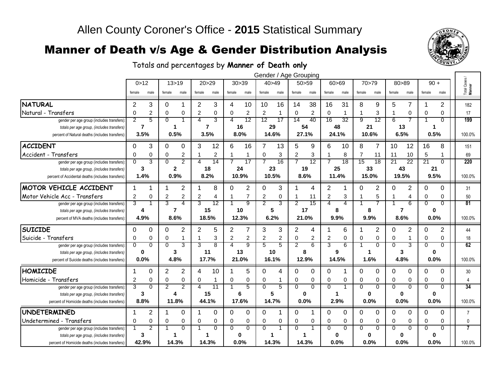### Manner of Death v/s Age & Gender Distribution Analysis



Totals and percentages by **Manner of Death only**

|                                                    |                |                |                |                |                |                 |                |                |                 |                | Gender / Age Grouping |                |                |                |        |                 |                 |                |                |                |                         |
|----------------------------------------------------|----------------|----------------|----------------|----------------|----------------|-----------------|----------------|----------------|-----------------|----------------|-----------------------|----------------|----------------|----------------|--------|-----------------|-----------------|----------------|----------------|----------------|-------------------------|
|                                                    | 0 > 12         |                |                | 13 > 19        |                | 20 > 29         |                | 30 > 39        |                 | 40 > 49        | 50 > 59               |                |                | 60>69          |        | 70>79           |                 | 80>89          | $90 +$         |                |                         |
|                                                    | female         | male           | female         | male           | female         | male            | female         | male           | female          | male           | female                | male           | female         | male           | female | male            | female          | male           | female         | male           | Total Cases /<br>Manner |
| <b>NATURAL</b>                                     | $\overline{2}$ | 3              | 0              | 1              | 2              | 3               | 4              | 10             | 10              | 16             | 14                    | 38             | 16             | 31             | 8      | 9               | 5               | $\overline{7}$ | 1              | 2              | 182                     |
| Natural - Transfers                                | 0              | $\overline{c}$ | 0              | 0              | 2              | 0               | 0              | $\overline{2}$ | 2               | $\overline{1}$ | 0                     | $\overline{2}$ | 0              | -1             |        | 3               |                 | 0              | 0              | 0              | 17                      |
| gender per age group (includes transfers):         | $\overline{2}$ | 5              | $\overline{0}$ | $\mathbf 1$    | $\overline{4}$ | 3               | 4              | 12             | $\overline{12}$ | 17             | 14                    | 40             | 16             | 32             | 9      | 12              | 6               | 7              | 1              | 0              | 199                     |
| totals per age group, (includes transfers)         | $\overline{7}$ |                |                | 1              |                | 7               |                | 16             |                 | 29             | 54                    |                |                | 48             |        | 21              |                 | 13             | 1              |                |                         |
| percent of Natural deaths (includes transfers):    | 3.5%           |                |                | 0.5%           |                | 3.5%            |                | 8.0%           |                 | 14.6%          | 27.1%                 |                |                | 24.1%          |        | 10.6%           |                 | 6.5%           | 0.5%           |                | 100.0%                  |
| <b>ACCIDENT</b>                                    | $\Omega$       | 3              | 0              | 0              | 3              | 12              | 6              | 16             |                 | 13             | 5                     | 9              | 6              | 10             | 8      | $\overline{7}$  | 10              | 12             | 16             | 8              | 151                     |
| Accident - Transfers                               | $\Omega$       | 0              | $\Omega$       | 2              |                | 2               | 1              | 1              | $\Omega$        | 3              | 2                     | 3              |                | 8              | 7      | 11              | 11              | 10             | 5              | 1              | 69                      |
| gender per age group (includes transfers)          | $\overline{0}$ | 3              | $\overline{0}$ | $\overline{2}$ | $\overline{4}$ | 14              | 7              | 17             |                 | 16             | 7                     | 12             | 7              | 18             | 15     | $\overline{18}$ | $\overline{21}$ | 22             | 21             | $\overline{0}$ | 220                     |
| totals per age group, (includes transfers)         |                | 3              |                | $\mathbf{2}$   |                | 18              |                | 24             |                 | 23             | 19                    |                |                | 25             |        | 33              |                 | 43             | 21             |                |                         |
| percent of Accidental deaths (includes transfers): | 1.4%           |                |                | 0.9%           |                | 8.2%            |                | 10.9%          |                 | 10.5%          | 8.6%                  |                |                | 11.4%          |        | 15.0%           |                 | 19.5%          | 9.5%           |                | 100.0%                  |
| MOTOR VEHICLE ACCIDENT                             | $\mathbf 1$    | 1              |                | $\overline{2}$ | 1              | 8               | $\Omega$       | $\overline{2}$ | $\Omega$        | 3              | 1                     | 4              | $\overline{2}$ | 1              | 0      | $\overline{2}$  | 0               | $\overline{2}$ | 0              | $\Omega$       | 31                      |
| Motor Vehicle Acc - Transfers                      | 2              | 0              | 2              | $\overline{c}$ | 2              | 4               |                | $\overline{7}$ | 2               | 0              |                       | 11             | 2              | 3              |        | 5               |                 | 4              | 0              | 0              | 50                      |
| gender per age group (includes transfers):         | 3              | 1              | 3              | $\overline{4}$ | 3              | 12              | 1              | 9              | $\overline{2}$  | 3              | $\overline{2}$        | 15             | 4              | $\overline{4}$ |        | 7               |                 | 6              | $\overline{0}$ | $\Omega$       | 81                      |
| totals per age group, (includes transfers)         |                | 4              |                | 7              |                | 15              |                | 10             |                 | 5              | 17                    |                |                | 8              |        | 8               |                 | 7              | 0              |                |                         |
| percent of MVA deaths (includes transfers):        |                | 4.9%           |                | 8.6%           |                | 18.5%           |                | 12.3%          |                 | 6.2%           | 21.0%                 |                |                | 9.9%           |        | 9.9%            |                 | 8.6%           | 0.0%           |                | 100.0%                  |
| <b>SUICIDE</b>                                     | $\Omega$       | 0              | 0              | $\overline{2}$ | 2              | 5               | 2              | 7              | 3               | 3              | 2                     | 4              | -1             | 6              |        | 2               | 0               | 2              | 0              | $\overline{2}$ | 44                      |
| Suicide - Transfers                                | $\Omega$       | 0              | 0              | $\mathbf 1$    |                | 3               | 2              | 2              | 2               | 2              | 0                     | 2              | 2              | $\mathbf 0$    | 0      | 0               | 0               |                | 0              | 0              | 18                      |
| gender per age group (includes transfers)          | $\overline{0}$ | $\overline{0}$ | $\overline{0}$ | 3              | 3              | $\overline{8}$  | 4              | 9              | 5               | 5              | 2                     | 6              | 3              | 6              |        | $\overline{0}$  | $\overline{0}$  | 3              | $\overline{0}$ | $\overline{0}$ | 62                      |
| totals per age group, (includes transfers)         | $\bf{0}$       |                |                | 3              |                | 11              |                | 13             |                 | 10             |                       | 8              |                | 9              |        | 1               |                 | 3              | 0              |                |                         |
| percent of Suicide deaths (includes transfers):    | 0.0%           |                |                | 4.8%           |                | 17.7%           |                | 21.0%          |                 | 16.1%          | 12.9%                 |                |                | 14.5%          |        | 1.6%            |                 | 4.8%           | 0.0%           |                | 100.0%                  |
| <b>HOMICIDE</b>                                    | -1             | $\Omega$       | $\overline{2}$ | $\overline{2}$ | 4              | 10              | 1              | 5              | $\Omega$        | 4              | $\Omega$              | 0              | $\Omega$       | 1              | O      | $\Omega$        | 0               | $\Omega$       | 0              | 0              | 30                      |
| Homicide - Transfers                               | 2              | $\Omega$       | 0              | 0              | 0              |                 | 0              | 0              | 0               | 1              | $\mathbf 0$           | 0              | 0              | $\mathbf 0$    | 0      | 0               | 0               | 0              | 0              | 0              | $\overline{4}$          |
| gender per age group (includes transfers)          | 3              | $\overline{0}$ | $\overline{2}$ | $\overline{2}$ | $\overline{4}$ | $\overline{11}$ | 1              | 5              | $\overline{0}$  | 5              | $\overline{0}$        | $\overline{0}$ | $\overline{0}$ | 1              | 0      | $\overline{0}$  | $\overline{0}$  | $\overline{0}$ | $\overline{0}$ | $\overline{0}$ | 34                      |
| totals per age group, (includes transfers)         |                | 3              |                | 4              |                | 15              |                | 6              |                 | 5              |                       | 0              | 1              |                |        | 0               |                 | 0              | 0              |                |                         |
| percent of Homicide deaths (includes transfers):   | 8.8%           |                |                | 11.8%          |                | 44.1%           |                | 17.6%          |                 | 14.7%          | 0.0%                  |                |                | 2.9%           |        | 0.0%            |                 | 0.0%           | 0.0%           |                | 100.0%                  |
| <b>UNDETERMINED</b>                                |                | $\overline{2}$ |                | 0              | 1              | 0               | 0              | 0              | 0               | 1              | 0                     | 1              | 0              | 0              | 0      | 0               | 0               | 0              | 0              | 0              | $\overline{7}$          |
| Undetermined - Transfers                           | 0              | 0              | $\Omega$       | 0              | 0              | $\Omega$        | $\Omega$       | $\Omega$       | $\Omega$        | 0              | 0                     | 0              | 0              | $\Omega$       | 0      | 0               | $\Omega$        | 0              | 0              | 0              | $\Omega$                |
| gender per age group (includes transfers):         |                | $\overline{2}$ |                | $\overline{0}$ | 1              | $\Omega$        | $\overline{0}$ | $\overline{0}$ | $\overline{0}$  | $\overline{1}$ | $\overline{0}$        | -1             | $\overline{0}$ | $\overline{0}$ | U      | $\overline{0}$  | $\overline{0}$  | $\Omega$       | $\overline{0}$ | 0              |                         |
| totals per age group, (includes transfers)         |                | 3              |                | 1              |                | 1               |                | 0              |                 | 1              |                       |                |                | 0              |        | 0               |                 | 0              | 0              |                |                         |
| percent of Homicide deaths (includes transfers):   |                | 42.9%          |                | 14.3%          |                | 14.3%           |                | 0.0%           |                 | 14.3%          | 14.3%                 |                |                | 0.0%           |        | 0.0%            |                 | 0.0%           | 0.0%           |                | 100.0%                  |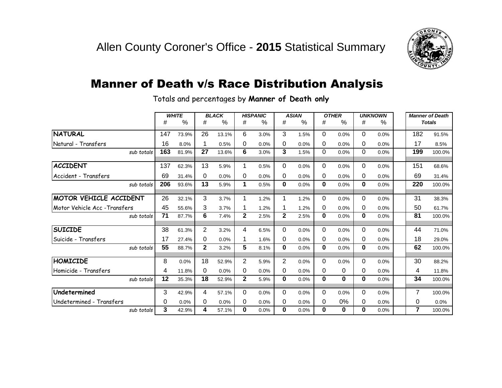

#### Manner of Death v/s Race Distribution Analysis

Totals and percentages by **Manner of Death only**

|                              |     | <b>WHITE</b> |              | <b>BLACK</b> |              | <b>HISPANIC</b> |              | <b>ASIAN</b> |          | <b>OTHER</b> |   | <b>UNKNOWN</b> |     | <b>Manner of Death</b> |
|------------------------------|-----|--------------|--------------|--------------|--------------|-----------------|--------------|--------------|----------|--------------|---|----------------|-----|------------------------|
|                              | #   | %            | #            | %            | #            | %               | #            | $\%$         | #        | %            | # | %              |     | <b>Totals</b>          |
| NATURAL                      | 147 | 73.9%        | 26           | 13.1%        | 6            | 3.0%            | 3            | 1.5%         | $\Omega$ | 0.0%         | 0 | 0.0%           | 182 | 91.5%                  |
| Natural - Transfers          | 16  | 8.0%         | 1            | 0.5%         | 0            | 0.0%            | $\Omega$     | 0.0%         | 0        | 0.0%         | 0 | 0.0%           | 17  | 8.5%                   |
| sub totals                   | 163 | 81.9%        | 27           | 13.6%        | 6            | 3.0%            | 3            | 1.5%         | $\Omega$ | 0.0%         | 0 | 0.0%           | 199 | 100.0%                 |
| <b>ACCIDENT</b>              | 137 | 62.3%        | 13           | 5.9%         |              | 0.5%            | $\Omega$     | 0.0%         | $\Omega$ | 0.0%         | 0 | 0.0%           | 151 | 68.6%                  |
| Accident - Transfers         | 69  | 31.4%        | 0            | 0.0%         | 0            | 0.0%            | 0            | 0.0%         | 0        | 0.0%         | 0 | 0.0%           | 69  | 31.4%                  |
| sub totals                   | 206 | 93.6%        | 13           | 5.9%         | 1            | 0.5%            | $\bf{0}$     | 0.0%         | $\bf{0}$ | 0.0%         | 0 | 0.0%           | 220 | 100.0%                 |
| MOTOR VEHICLE ACCIDENT       | 26  | 32.1%        | 3            | 3.7%         |              | 1.2%            | 1            | 1.2%         | $\Omega$ | 0.0%         | 0 | 0.0%           | 31  | 38.3%                  |
| Motor Vehicle Acc -Transfers | 45  | 55.6%        | 3            | 3.7%         |              | 1.2%            |              | 1.2%         | 0        | 0.0%         | 0 | 0.0%           | 50  | 61.7%                  |
| sub totals                   | 71  | 87.7%        | 6            | 7.4%         | $\mathbf{2}$ | 2.5%            | $\mathbf{2}$ | 2.5%         | 0        | 0.0%         | 0 | 0.0%           | 81  | 100.0%                 |
| <b>SUICIDE</b>               | 38  | 61.3%        | 2            | 3.2%         | 4            | 6.5%            | $\Omega$     | 0.0%         | 0        | 0.0%         | 0 | 0.0%           | 44  | 71.0%                  |
| Suicide - Transfers          | 17  | 27.4%        | 0            | 0.0%         |              | 1.6%            | 0            | 0.0%         | 0        | 0.0%         | 0 | 0.0%           | 18  | 29.0%                  |
| sub totals                   | 55  | 88.7%        | $\mathbf{2}$ | 3.2%         | 5            | 8.1%            | 0            | 0.0%         | 0        | 0.0%         | 0 | 0.0%           | 62  | 100.0%                 |
| <b>HOMICIDE</b>              | 8   | 0.0%         | 18           | 52.9%        | 2            | 5.9%            | 2            | 0.0%         | $\Omega$ | 0.0%         | 0 | 0.0%           | 30  | 88.2%                  |
| Homicide - Transfers         | 4   | 11.8%        | 0            | 0.0%         | 0            | 0.0%            | 0            | 0.0%         | 0        | 0            | 0 | 0.0%           | 4   | 11.8%                  |
| sub totals                   | 12  | 35.3%        | 18           | 52.9%        | $\mathbf{2}$ | 5.9%            | $\bf{0}$     | 0.0%         | 0        | 0            | 0 | 0.0%           | 34  | 100.0%                 |
| Undetermined                 | 3   | 42.9%        | 4            | 57.1%        | 0            | 0.0%            | $\Omega$     | 0.0%         | $\Omega$ | 0.0%         | 0 | 0.0%           | 7   | 100.0%                 |
| Undetermined - Transfers     | 0   | 0.0%         | 0            | 0.0%         | 0            | 0.0%            | 0            | 0.0%         | 0        | 0%           | 0 | 0.0%           | 0   | 0.0%                   |
| sub totals                   | 3   | 42.9%        | 4            | 57.1%        | 0            | 0.0%            | $\bf{0}$     | 0.0%         | 0        | 0            | 0 | 0.0%           | 7   | 100.0%                 |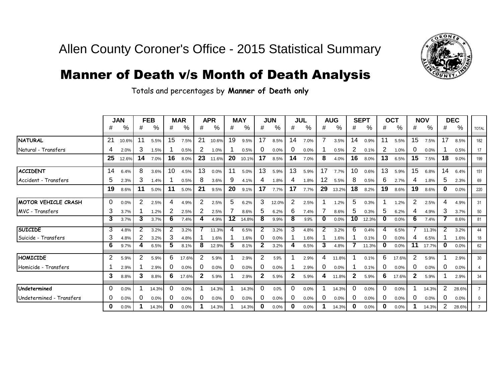

# Manner of Death v/s Month of Death Analysis

Totals and percentages by **Manner of Death only**

|                             |                | <b>JAN</b> |    | <b>FEB</b> |    | <b>MAR</b> |    | <b>APR</b> |    | <b>MAY</b> |              | <b>JUN</b> |    | <b>JUL</b> |    | <b>AUG</b> |          | <b>SEPT</b> |          | <b>OCT</b> |    | <b>NOV</b> |    | <b>DEC</b> |              |
|-----------------------------|----------------|------------|----|------------|----|------------|----|------------|----|------------|--------------|------------|----|------------|----|------------|----------|-------------|----------|------------|----|------------|----|------------|--------------|
|                             | #              | %          | #  | %          | #  | ℅          | #  | %          | #  | $\%$       | #            | %          | #  | %          | #  | %          | #        | %           | #        | %          | #  | %          | #  | %          | <b>TOTAL</b> |
| <b>NATURAL</b>              | 21             | 10.6%      | 11 | 5.5%       | 15 | 7.5%       | 21 | 10.6%      | 19 | 9.5%       | 17           | 8.5%       | 14 | 7.0%       |    | 3.5%       | 14       | 0.9%        | 11       | 5.5%       | 15 | 7.5%       | 17 | 8.5%       | 182          |
| Natural - Transfers         | 4              | 2.0%       | 3  | 1.5%       |    | 0.5%       | 2  | 1.0%       |    | 0.5%       | 0            | 0.0%       | 0  | 0.0%       |    | 0.5%       |          | 0.1%        | 2        | 1.0%       | 0  | 0.0%       |    | 0.5%       | 17           |
|                             | 25             | 12.6%      | 14 | 7.0%       | 16 | 8.0%       | 23 | 11.6%      | 20 | 10.1%      | 17           | 8.5%       | 14 | 7.0%       | 8  | 4.0%       | 16       | 8.0%        | 13       | 6.5%       | 15 | 7.5%       | 18 | 9.0%       | 199          |
| ACCIDENT                    | 14             | 6.4%       | 8  | 3.6%       | 10 | 4.5%       | 13 | 0.0%       | 11 | 5.0%       | 13           | 5.9%       | 13 | 5.9%       | 17 | 7.7%       | 10       | 0.6%        | 13       | 5.9%       | 15 | 6.8%       | 14 | 6.4%       | 151          |
| Accident - Transfers        | 5              | 2.3%       | 3  | 1.4%       |    | 0.5%       | 8  | 3.6%       | 9  | 4.1%       | 4            | 1.8%       | 4  | 1.8%       | 12 | 5.5%       | 8        | 0.5%        | 6        | 2.7%       | 4  | 1.8%       | 5  | 2.3%       | 69           |
|                             | 19             | 8.6%       | 11 | 5.0%       | 11 | 5.0%       | 21 | 9.5%       | 20 | 9.1%       | 17           | 7.7%       | 17 | 7.7%       | 29 | 13.2%      | 18       | 8.2%        | 19       | 8.6%       | 19 | 8.6%       | 0  | 0.0%       | 220          |
| <b>IMOTOR VEHICLE CRASH</b> | 0              | 0.0%       | 2  | 2.5%       | 4  | 4.9%       | 2  | 2.5%       | 5  | 6.2%       | 3            | 12.0%      | 2  | 2.5%       |    | 1.2%       | 5        | 0.3%        |          | 1.2%       | 2  | 2.5%       |    | 4.9%       | 31           |
| <b>IMVC</b> - Transfers     | 3              | 3.7%       |    | 1.2%       | 2  | 2.5%       | 2  | 2.5%       |    | 8.6%       | 5            | 6.2%       | 6  | 7.4%       |    | 8.6%       | 5        | 0.3%        | 5        | 6.2%       | 4  | 4.9%       | 3  | 3.7%       | 50           |
|                             | 3              | 3.7%       | 3  | 3.7%       | 6  | 7.4%       | 4  | 4.9%       | 12 | 14.8%      | 8            | 9.9%       | 8  | 9.9%       | 0  | 0.0%       | 10       | 12.3%       | 0        | 0.0%       | 6  | 7.4%       |    | 8.6%       | 81           |
| <b>SUICIDE</b>              | 3              | 4.8%       |    | 3.2%       |    | 3.2%       |    | 11.3%      | 4  | 6.5%       |              | 3.2%       | 3  | 4.8%       |    | 3.2%       | 6        | 0.4%        | 4        | 6.5%       |    | 11.3%      | 2  | 3.2%       | 44           |
| Suicide - Transfers         | 3              | 4.8%       |    | 3.2%       | 3  | 4.8%       |    | 1.6%       |    | 1.6%       | 0            | 0.0%       |    | 1.6%       |    | 1.6%       |          | 0.1%        | 0        | 0.0%       | 4  | 6.5%       |    | 1.6%       | 18           |
|                             | 6              | 9.7%       |    | 6.5%       | 5  | 8.1%       | 8  | 12.9%      | 5  | 8.1%       | 2            | 3.2%       | 4  | 6.5%       | 3  | 4.8%       |          | 11.3%       | 0        | 0.0%       | 11 | 17.7%      | 0  | 0.0%       | 62           |
| <b>HOMICIDE</b>             | $\overline{2}$ | 5.9%       | 2  | 5.9%       | 6  | 17.6%      | 2  | 5.9%       |    | 2.9%       | 2            | 5.9%       |    | 2.9%       | 4  | 11.8%      |          | 0.1%        | 6        | 17.6%      | 2  | 5.9%       |    | 2.9%       | 30           |
| Homicide - Transfers        |                | 2.9%       |    | 2.9%       | 0  | 0.0%       | 0  | 0.0%       | 0  | 0.0%       | 0            | 0.0%       |    | 2.9%       | 0  | 0.0%       |          | 0.1%        | 0        | 0.0%       | 0  | 0.0%       | 0  | 0.0%       |              |
|                             | 3              | 8.8%       | 3  | 8.8%       | 6  | 17.6%      | 2  | 5.9%       |    | 2.9%       | $\mathbf{2}$ | 5.9%       |    | 5.9%       | 4  | 11.8%      |          | 5.9%        | 6        | 17.6%      | 2  | 5.9%       |    | 2.9%       | 34           |
| <b>IUndetermined</b>        | $\Omega$       | 0.0%       |    | 14.3%      | 0  | 0.0%       |    | 14.3%      |    | 14.3%      | 0            | 0.0%       | 0  | 0.0%       |    | 14.3%      | $\Omega$ | 0.0%        | $\Omega$ | 0.0%       |    | 14.3%      | 2  | 28.6%      |              |
| Undetermined - Transfers    | 0              | 0.0%       |    | 0.0%       | 0  | 0.0%       | 0  | 0.0%       | 0  | 0.0%       | 0            | 0.0%       | 0  | 0.0%       | 0  | 0.0%       | $\Omega$ | 0.0%        | 0        | 0.0%       | 0  | 0.0%       | 0  | 0.0%       | $\mathbf 0$  |
|                             | 0              | 0.0%       |    | 14.3%      | 0  | 0.0%       |    | 14.3%      |    | 14.3%      | 0            | 0.0%       | 0  | 0.0%       |    | 14.3%      | 0        | 0.0%        | 0        | 0.0%       |    | 14.3%      |    | 28.6%      |              |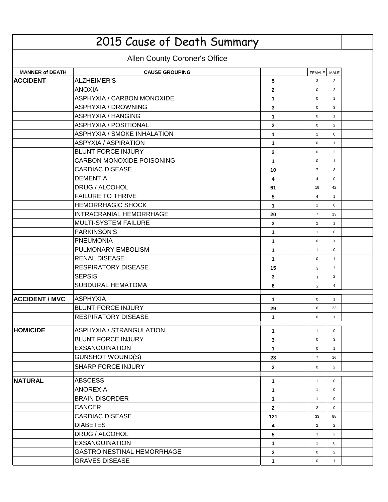|                        | 2015 Cause of Death Summary        |              |                     |                |  |
|------------------------|------------------------------------|--------------|---------------------|----------------|--|
|                        | Allen County Coroner's Office      |              |                     |                |  |
| <b>MANNER of DEATH</b> | <b>CAUSE GROUPING</b>              |              | <b>FEMALE</b>       | <b>MALE</b>    |  |
| <b>ACCIDENT</b>        | <b>ALZHEIMER'S</b>                 | 5            | 3                   | $\overline{2}$ |  |
|                        | <b>ANOXIA</b>                      | $\mathbf{2}$ | $\mathbf 0$         | $\overline{2}$ |  |
|                        | <b>ASPHYXIA / CARBON MONOXIDE</b>  | $\mathbf{1}$ | $\mathbf 0$         | $\mathbf{1}$   |  |
|                        | <b>ASPHYXIA / DROWNING</b>         | 3            | $\mathbf 0$         | 3              |  |
|                        | <b>ASPHYXIA / HANGING</b>          | $\mathbf{1}$ | $\mathbf 0$         | $\overline{1}$ |  |
|                        | <b>ASPHYXIA / POSITIONAL</b>       | $\mathbf{2}$ | $\mathbf 0$         | 2              |  |
|                        | <b>ASPHYXIA / SMOKE INHALATION</b> | $\mathbf{1}$ | $\mathbf{1}$        | $\mathbf 0$    |  |
|                        | <b>ASPYXIA / ASPIRATION</b>        | $\mathbf{1}$ | $\mathbf 0$         | $\overline{1}$ |  |
|                        | <b>BLUNT FORCE INJURY</b>          | $\mathbf{2}$ | $\mathbf 0$         | 2              |  |
|                        | <b>CARBON MONOXIDE POISONING</b>   | $\mathbf{1}$ | $\mathbf 0$         | $\overline{1}$ |  |
|                        | <b>CARDIAC DISEASE</b>             | 10           | $\overline{7}$      | 3              |  |
|                        | <b>DEMENTIA</b>                    | 4            | $\overline{4}$      | $\mathbf 0$    |  |
|                        | DRUG / ALCOHOL                     | 61           | 19                  | 42             |  |
|                        | <b>FAILURE TO THRIVE</b>           | 5            | $\overline{4}$      | $\overline{1}$ |  |
|                        | <b>HEMORRHAGIC SHOCK</b>           | $\mathbf{1}$ | $\mathbf{1}$        | $\mathbf 0$    |  |
|                        | INTRACRANIAL HEMORRHAGE            | 20           | $\overline{7}$      | 13             |  |
|                        | <b>MULTI-SYSTEM FAILURE</b>        | 3            | $\overline{2}$      | $\overline{1}$ |  |
|                        | <b>PARKINSON'S</b>                 | 1            | $\mathbf{1}$        | $\mathbf 0$    |  |
|                        | <b>PNEUMONIA</b>                   | $\mathbf{1}$ | $\mathbf 0$         | $\overline{1}$ |  |
|                        | PULMONARY EMBOLISM                 | 1            | $\mathbf{1}$        | $\mathbf 0$    |  |
|                        | <b>RENAL DISEASE</b>               | $\mathbf{1}$ | $\mathbf 0$         | $\overline{1}$ |  |
|                        | <b>RESPIRATORY DISEASE</b>         | 15           | 8                   | $\overline{7}$ |  |
|                        | <b>SEPSIS</b>                      | 3            | $\mathbf{1}$        | $\overline{2}$ |  |
|                        | <b>SUBDURAL HEMATOMA</b>           | 6            | $\overline{2}$      | $\overline{4}$ |  |
|                        |                                    |              |                     |                |  |
| <b>ACCIDENT / MVC</b>  | ASPHYXIA                           | 1            | $\mathbf 0$         | $\overline{1}$ |  |
|                        | <b>BLUNT FORCE INJURY</b>          | 29           | 6                   | 23             |  |
|                        | <b>RESPIRATORY DISEASE</b>         | $\mathbf{1}$ | $\mathsf{O}\xspace$ | $\mathbf{1}$   |  |
| <b>HOMICIDE</b>        | <b>ASPHYXIA / STRANGULATION</b>    | $\mathbf{1}$ | $\mathbf{1}$        | $\mathbf 0$    |  |
|                        | <b>BLUNT FORCE INJURY</b>          | 3            | $\mathsf 0$         | 3              |  |
|                        | <b>EXSANGUINATION</b>              | $\mathbf{1}$ | $\mathbf 0$         | $\mathbf{1}$   |  |
|                        | <b>GUNSHOT WOUND(S)</b>            | 23           | $\overline{7}$      | 16             |  |
|                        | <b>SHARP FORCE INJURY</b>          | $\mathbf{2}$ | $\mathbf 0$         | $\overline{2}$ |  |
|                        |                                    |              |                     |                |  |
| <b>NATURAL</b>         | <b>ABSCESS</b>                     | $\mathbf{1}$ | $\mathbf{1}$        | $\mathbf 0$    |  |
|                        | <b>ANOREXIA</b>                    | $\mathbf{1}$ | $\mathbf{1}$        | $\mathbf{0}$   |  |
|                        | <b>BRAIN DISORDER</b>              | $\mathbf{1}$ | $\mathbf{1}$        | $\mathbf 0$    |  |
|                        | <b>CANCER</b>                      | $\mathbf{2}$ | $\overline{2}$      | $\mathbf{0}$   |  |
|                        | <b>CARDIAC DISEASE</b>             | 121          | 33                  | 88             |  |
|                        | <b>DIABETES</b>                    | 4            | $\overline{2}$      | $\overline{2}$ |  |
|                        | DRUG / ALCOHOL                     | 5            | 3                   | $\overline{2}$ |  |
|                        | <b>EXSANGUINATION</b>              | $\mathbf{1}$ | $\mathbf{1}$        | $\mathbf{0}$   |  |
|                        | GASTROINESTINAL HEMORRHAGE         | $\mathbf{2}$ | $\mathsf 0$         | $\overline{2}$ |  |
|                        | <b>GRAVES DISEASE</b>              | $\mathbf{1}$ | $\mathbf 0$         | $\mathbf{1}$   |  |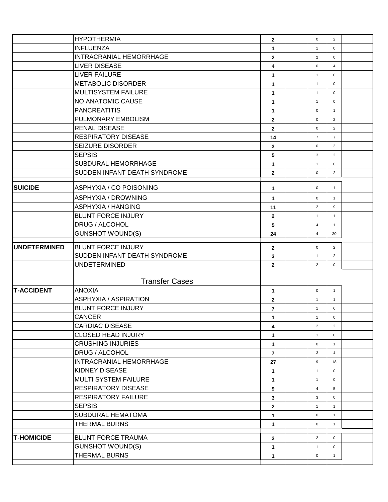|                     | <b>HYPOTHERMIA</b>           | $\mathbf{2}$            | $\mathsf 0$    | 2              |  |
|---------------------|------------------------------|-------------------------|----------------|----------------|--|
|                     | <b>INFLUENZA</b>             | $\mathbf{1}$            | $\mathbf{1}$   | $\mathbf 0$    |  |
|                     | INTRACRANIAL HEMORRHAGE      | $\mathbf{2}$            | $\overline{2}$ | $\Omega$       |  |
|                     | <b>LIVER DISEASE</b>         | 4                       | $\mathsf 0$    | $\overline{4}$ |  |
|                     | <b>LIVER FAILURE</b>         | 1                       | $\mathbf{1}$   | $\mathbf 0$    |  |
|                     | <b>METABOLIC DISORDER</b>    | $\mathbf{1}$            | $\mathbf{1}$   | $\Omega$       |  |
|                     | <b>MULTISYSTEM FAILURE</b>   | 1                       | $\mathbf{1}$   | $\mathbf{0}$   |  |
|                     | NO ANATOMIC CAUSE            | 1                       | $\mathbf{1}$   | $\mathbf 0$    |  |
|                     | <b>PANCREATITIS</b>          | $\mathbf{1}$            | $\mathbf 0$    | $\mathbf{1}$   |  |
|                     | PULMONARY EMBOLISM           | $\mathbf{2}$            | $\mathsf 0$    | $\overline{2}$ |  |
|                     | <b>RENAL DISEASE</b>         | $\mathbf{2}$            | $\mathsf 0$    | $\overline{2}$ |  |
|                     | <b>RESPIRATORY DISEASE</b>   | 14                      | $\overline{7}$ | $\overline{7}$ |  |
|                     | <b>SEIZURE DISORDER</b>      | 3                       | $\mathsf 0$    | 3              |  |
|                     | <b>SEPSIS</b>                | 5                       | 3              | $\overline{2}$ |  |
|                     | SUBDURAL HEMORRHAGE          | $\mathbf{1}$            | $\mathbf{1}$   | $\mathbf{0}$   |  |
|                     | SUDDEN INFANT DEATH SYNDROME | $\mathbf{2}$            | $\mathsf 0$    | $\overline{2}$ |  |
|                     |                              |                         |                |                |  |
| <b>SUICIDE</b>      | ASPHYXIA / CO POISONING      | $\mathbf{1}$            | $\mathsf 0$    | $\mathbf{1}$   |  |
|                     | <b>ASPHYXIA / DROWNING</b>   | $\mathbf{1}$            | $\mathsf 0$    | $\mathbf{1}$   |  |
|                     | <b>ASPHYXIA / HANGING</b>    | 11                      | $\overline{2}$ | 9              |  |
|                     | <b>BLUNT FORCE INJURY</b>    | $\mathbf{2}$            | $\mathbf{1}$   | $\mathbf{1}$   |  |
|                     | DRUG / ALCOHOL               | 5                       | $\overline{4}$ | $\mathbf{1}$   |  |
|                     | <b>GUNSHOT WOUND(S)</b>      | 24                      | $\overline{4}$ | 20             |  |
|                     |                              |                         |                |                |  |
| <b>UNDETERMINED</b> | <b>BLUNT FORCE INJURY</b>    | $\mathbf{2}$            | $\mathbf 0$    | 2              |  |
|                     | SUDDEN INFANT DEATH SYNDROME | 3                       | $\mathbf{1}$   | 2              |  |
|                     | <b>UNDETERMINED</b>          | $\mathbf{2}$            | $\overline{2}$ | $\mathbf{0}$   |  |
|                     | <b>Transfer Cases</b>        |                         |                |                |  |
| <b>T-ACCIDENT</b>   | <b>ANOXIA</b>                | $\mathbf{1}$            | $\mathsf 0$    | $\mathbf{1}$   |  |
|                     | <b>ASPHYXIA / ASPIRATION</b> | $\overline{2}$          | $\mathbf{1}$   | $\overline{1}$ |  |
|                     | <b>BLUNT FORCE INJURY</b>    | $\overline{\mathbf{r}}$ | $\mathbf{1}$   | 6              |  |
|                     | <b>CANCER</b>                | $\mathbf{1}$            | $\mathbf{1}$   | $\mathbf{0}$   |  |
|                     | <b>CARDIAC DISEASE</b>       | 4                       | $\overline{2}$ | $\overline{2}$ |  |
|                     | <b>CLOSED HEAD INJURY</b>    | $\mathbf{1}$            | $\mathbf{1}$   | $\mathbf 0$    |  |
|                     | <b>CRUSHING INJURIES</b>     | $\mathbf{1}$            | $\mathbf 0$    | $\mathbf{1}$   |  |
|                     | DRUG / ALCOHOL               | $\overline{7}$          | 3              | $\overline{4}$ |  |
|                     | INTRACRANIAL HEMORRHAGE      | 27                      | 9              | 18             |  |
|                     | KIDNEY DISEASE               | $\mathbf{1}$            | $\mathbf{1}$   | $\mathbf{0}$   |  |
|                     | <b>MULTI SYSTEM FAILURE</b>  | $\mathbf{1}$            | $\mathbf{1}$   | $\mathbf 0$    |  |
|                     | <b>RESPIRATORY DISEASE</b>   | 9                       | $\overline{4}$ | 5              |  |
|                     | <b>RESPIRATORY FAILURE</b>   | $\mathbf{3}$            | 3              | $\mathbf{0}$   |  |
|                     | <b>SEPSIS</b>                | $\mathbf{2}$            | $\mathbf{1}$   | $\mathbf{1}$   |  |
|                     | SUBDURAL HEMATOMA            | $\mathbf{1}$            | $\mathbf{0}$   | $\mathbf{1}$   |  |
|                     | THERMAL BURNS                | $\mathbf{1}$            | $\mathbf 0$    | $\mathbf{1}$   |  |
|                     |                              |                         |                |                |  |
| <b>T-HOMICIDE</b>   | <b>BLUNT FORCE TRAUMA</b>    | $\mathbf{2}$            | $\overline{2}$ | $\Omega$       |  |
|                     | <b>GUNSHOT WOUND(S)</b>      | $\mathbf{1}$            | $\mathbf{1}$   | $\mathbf{0}$   |  |
|                     | <b>THERMAL BURNS</b>         | $\mathbf{1}$            | $\mathbf 0$    | $\mathbf{1}$   |  |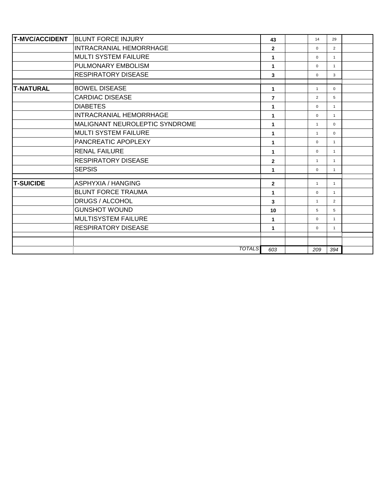| <b>T-MVC/ACCIDENT</b> | <b>BLUNT FORCE INJURY</b>                                          | 43             | 14             | 29             |  |
|-----------------------|--------------------------------------------------------------------|----------------|----------------|----------------|--|
|                       | <b>INTRACRANIAL HEMORRHAGE</b>                                     | $\mathbf{2}$   | $\Omega$       | 2              |  |
|                       | <b>MULTI SYSTEM FAILURE</b>                                        | $\mathbf{1}$   | $\Omega$       | $\mathbf{1}$   |  |
|                       | PULMONARY EMBOLISM                                                 | $\mathbf{1}$   | $\mathbf 0$    | $\mathbf{1}$   |  |
|                       | <b>RESPIRATORY DISEASE</b>                                         | 3              | $\mathbf 0$    | 3              |  |
| <b>T-NATURAL</b>      | <b>BOWEL DISEASE</b>                                               | $\mathbf{1}$   | $\mathbf{1}$   | $\Omega$       |  |
|                       | <b>CARDIAC DISEASE</b>                                             | $\overline{7}$ | $\overline{2}$ | 5              |  |
|                       | <b>DIABETES</b>                                                    | $\mathbf{1}$   | $\Omega$       | $\mathbf{1}$   |  |
|                       | <b>INTRACRANIAL HEMORRHAGE</b>                                     | $\mathbf{1}$   | $\mathbf 0$    | $\mathbf{1}$   |  |
|                       | MALIGNANT NEUROLEPTIC SYNDROME                                     | 1              | $\mathbf{1}$   | $\Omega$       |  |
|                       | <b>MULTI SYSTEM FAILURE</b>                                        | $\mathbf{1}$   | $\mathbf{1}$   | $\Omega$       |  |
|                       | PANCREATIC APOPLEXY                                                | 1              | $\mathbf 0$    | $\mathbf{1}$   |  |
|                       | <b>RENAL FAILURE</b>                                               | 1              | $\mathbf 0$    | $\mathbf{1}$   |  |
|                       | <b>RESPIRATORY DISEASE</b>                                         | $\mathbf{2}$   | $\mathbf{1}$   | $\mathbf{1}$   |  |
|                       | <b>SEPSIS</b>                                                      | $\mathbf{1}$   | $\mathbf 0$    | $\mathbf{1}$   |  |
| <b>T-SUICIDE</b>      |                                                                    | $\mathbf{2}$   | $\mathbf{1}$   | $\overline{1}$ |  |
|                       | ASPHYXIA / HANGING<br><b>BLUNT FORCE TRAUMA</b><br>DRUGS / ALCOHOL |                | $\Omega$       | $\mathbf{1}$   |  |
|                       |                                                                    | 1              |                |                |  |
|                       |                                                                    | 3              | $\mathbf{1}$   | $\overline{2}$ |  |
|                       | <b>GUNSHOT WOUND</b>                                               | 10             | 5              | 5              |  |
|                       | <b>MULTISYSTEM FAILURE</b>                                         | 1              | $\mathbf 0$    | $\mathbf{1}$   |  |
|                       | <b>RESPIRATORY DISEASE</b>                                         | 1              | $\mathbf 0$    | $\mathbf{1}$   |  |
|                       |                                                                    |                |                |                |  |
|                       | <b>TOTALS</b>                                                      | 603            | 209            | 394            |  |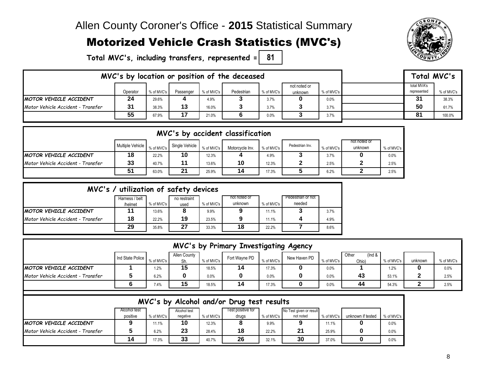#### Allen County Coroner's Office - **2015** Statistical Summary

## Motorized Vehicle Crash Statistics (MVC's)

**81 Total MVC's, including transfers, represented =**



|                                   |          |            |           |            | MVC's by location or position of the deceased |            |                         |            | Total MVC's                |            |
|-----------------------------------|----------|------------|-----------|------------|-----------------------------------------------|------------|-------------------------|------------|----------------------------|------------|
|                                   | Operator | % of MVC's | Passenger | % of MVC's | Pedestrian                                    | % of MVC's | not noted or<br>unknown | % of MVC's | total MVA's<br>represented | % of MVC's |
| MOTOR VEHICLE ACCIDENT            | 24       | 29.6%      |           | 4.9%       |                                               | 3.7%       |                         | 0.0%       | 31                         | 38.3%      |
| Motor Vehicle Accident - Transfer | 31       | 38.3%      | 13        | 16.0%      |                                               | 3.7%       |                         | 3.7%       | 50                         | 61.7%      |
|                                   | 55       | 67.9%      | 47        | 21.0%      |                                               | 0.0%       |                         | 3.7%       | 81                         | 100.0%     |

|                                   |                  |            |                |            | MVC's by accident classification |            |                 |            |                         |            |
|-----------------------------------|------------------|------------|----------------|------------|----------------------------------|------------|-----------------|------------|-------------------------|------------|
|                                   | Multiple Vehicle | % of MVC's | Single Vehicle | % of MVC's | Motorcycle Inv.                  | % of MVC's | Pedestrian Inv. | % of MVC's | not noted or<br>unknown | % of MVC's |
| MOTOR VEHICLE ACCIDENT            | 18               | 22.2%      | 10             | 12.3%      | д                                | 4.9%       |                 | 3.7%       |                         | 0.0%       |
| Motor Vehicle Accident - Transfer | 33               | 40.7%      | 11             | 13.6%      | 10                               | 12.3%      |                 | 2.5%       |                         | 2.5%       |
|                                   | 51               | 63.0%      | 21             | 25.9%      | 14                               | 17.3%      |                 | 6.2%       |                         | 2.5%       |

*Motor Vehicle Accident - Transfer* **5** 6.2% **23** 28.4% **18** 22.2% **21** 25.9% **0** 0.0%

| MVC's / utilization of safety devices |                           |            |                      |            |                         |            |                             |      |  |  |  |
|---------------------------------------|---------------------------|------------|----------------------|------------|-------------------------|------------|-----------------------------|------|--|--|--|
|                                       | Harness / belt<br>/helmet | % of MVC's | no restraint<br>used | % of MVC's | not noted or<br>unknown | % of MVC's | Pedestrian or not<br>needed |      |  |  |  |
| MOTOR VEHICLE ACCIDENT                |                           | 13.6%      |                      | 9.9%       | 9                       | 11.1%      |                             | 3.7% |  |  |  |
| Motor Vehicle Accident - Transfer     | 18                        | 22.2%      | 19                   | 23.5%      | 9                       | 11.1%      |                             | 4.9% |  |  |  |
|                                       | 29                        | 35.8%      | 27                   | 33.3%      | 18                      | 22.2%      |                             | 8.6% |  |  |  |

| MVC's by Primary Investigating Agency                                                                                     |                  |            |                     |            |               |            |              |            |                                |            |         |            |
|---------------------------------------------------------------------------------------------------------------------------|------------------|------------|---------------------|------------|---------------|------------|--------------|------------|--------------------------------|------------|---------|------------|
|                                                                                                                           | Ind State Police | % of MVC's | Allen County<br>Sh. | % of MVC's | Fort Wayne PD | % of MVC's | New Haven PD | % of MVC's | Other<br>$($ Ind $\&$<br>Ohio) | % of MVC's | unknown | % of MVC's |
| MOTOR VEHICLE ACCIDENT                                                                                                    |                  | 1.2%       | 15                  | 18.5%      | 14            | 17.3%      | 0            | 0.0%       |                                | 1.2%       | 0       | 0.0%       |
| Motor Vehicle Accident - Transfer                                                                                         | 5                | 6.2%       | 0                   | 0.0%       | 0             | 0.0%       | 0            | 0.0%       | 43                             | 53.1%      | 2       | 2.5%       |
|                                                                                                                           |                  | 7.4%       | 15                  | 18.5%      | 14            | 17.3%      | 0            | 0.0%       | 44                             | 54.3%      | 2       | 2.5%       |
| MVC's by Alcohol and/or Drug test results<br>Alcohol test<br>Test positive for<br>No Test given or result<br>Alcohol test |                  |            |                     |            |               |            |              |            |                                |            |         |            |
|                                                                                                                           | positive         | % of MVC's | negative            | % of MVC's | drugs         | % of MVC's | not noted    | % of MVC's | unknown if tested              | % of MVC's |         |            |
| MOTOR VEHICLE ACCIDENT                                                                                                    | 9                | 11.1%      | 10                  | 12.3%      | ō             | 9.9%       | 9            | 11.1%      | 0                              | 0.0%       |         |            |

**14** 17.3% **33** 40.7% **26** 32.1% **30** 37.0% **0** 0.0%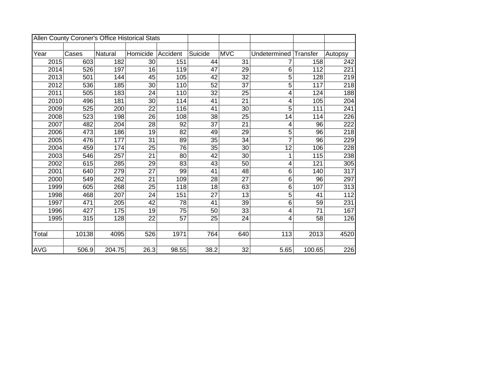| Allen County Coroner's Office Historical Stats |       |         |                 |          |                 |                 |                       |        |                  |
|------------------------------------------------|-------|---------|-----------------|----------|-----------------|-----------------|-----------------------|--------|------------------|
|                                                |       |         |                 |          |                 |                 |                       |        |                  |
| Year                                           | Cases | Natural | Homicide        | Accident | Suicide         | <b>MVC</b>      | Undetermined Transfer |        | Autopsy          |
| 2015                                           | 603   | 182     | 30              | 151      | 44              | 31              | 7                     | 158    | 242              |
| 2014                                           | 526   | 197     | 16              | 119      | 47              | 29              | 6                     | 112    | 221              |
| 2013                                           | 501   | 144     | 45              | 105      | 42              | $\overline{32}$ | 5                     | 128    | 219              |
| 2012                                           | 536   | 185     | 30              | 110      | 52              | 37              | 5                     | 117    | 218              |
| 2011                                           | 505   | 183     | 24              | 110      | 32              | 25              | 4                     | 124    | 188              |
| 2010                                           | 496   | 181     | 30              | 114      | 41              | 21              | 4                     | 105    | 204              |
| 2009                                           | 525   | 200     | 22              | 116      | 41              | 30              | 5                     | 111    | 241              |
| 2008                                           | 523   | 198     | $\overline{26}$ | 108      | 38              | 25              | 14                    | 114    | 226              |
| 2007                                           | 482   | 204     | 28              | 92       | $\overline{37}$ | $\overline{21}$ | 4                     | 96     | 222              |
| 2006                                           | 473   | 186     | 19              | 82       | 49              | 29              | 5                     | 96     | 218              |
| 2005                                           | 476   | 177     | 31              | 89       | 35              | 34              | 7                     | 96     | 229              |
| 2004                                           | 459   | 174     | 25              | 76       | 35              | 30              | 12                    | 106    | 228              |
| 2003                                           | 546   | 257     | 21              | 80       | 42              | 30              | 1                     | 115    | 238              |
| 2002                                           | 615   | 285     | 29              | 83       | 43              | 50              | 4                     | 121    | 305              |
| 2001                                           | 640   | 279     | $\overline{27}$ | 99       | 41              | 48              | 6                     | 140    | $\overline{317}$ |
| 2000                                           | 549   | 262     | 21              | 109      | 28              | 27              | 6                     | 96     | 297              |
| 1999                                           | 605   | 268     | 25              | 118      | 18              | 63              | 6                     | 107    | 313              |
| 1998                                           | 468   | 207     | 24              | 151      | 27              | 13              | 5                     | 41     | 112              |
| 1997                                           | 471   | 205     | 42              | 78       | 41              | 39              | 6                     | 59     | 231              |
| 1996                                           | 427   | 175     | 19              | 75       | 50              | 33              | 4                     | 71     | 167              |
| 1995                                           | 315   | 128     | 22              | 57       | 25              | 24              | 4                     | 58     | 126              |
|                                                |       |         |                 |          |                 |                 |                       |        |                  |
| Total                                          | 10138 | 4095    | 526             | 1971     | 764             | 640             | 113                   | 2013   | 4520             |
|                                                |       |         |                 |          |                 |                 |                       |        |                  |
| <b>AVG</b>                                     | 506.9 | 204.75  | 26.3            | 98.55    | 38.2            | 32              | 5.65                  | 100.65 | 226              |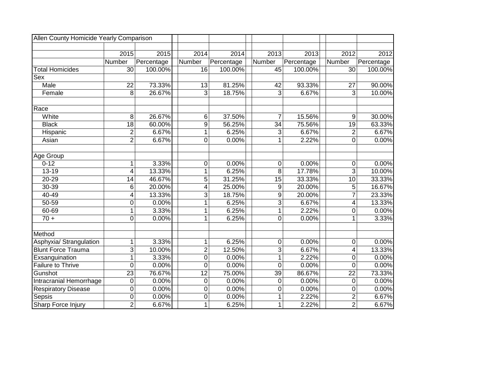| Allen County Homicide Yearly Comparison |                 |            |                 |            |                 |            |                  |            |
|-----------------------------------------|-----------------|------------|-----------------|------------|-----------------|------------|------------------|------------|
|                                         |                 |            |                 |            |                 |            |                  |            |
|                                         | 2015            | 2015       | 2014            | 2014       | 2013            | 2013       | 2012             | 2012       |
|                                         | Number          | Percentage | Number          | Percentage | Number          | Percentage | Number           | Percentage |
| <b>Total Homicides</b>                  | $\overline{30}$ | 100.00%    | $\overline{16}$ | 100.00%    | 45              | 100.00%    | $\overline{30}$  | 100.00%    |
| Sex                                     |                 |            |                 |            |                 |            |                  |            |
| Male                                    | 22              | 73.33%     | 13              | 81.25%     | 42              | 93.33%     | 27               | 90.00%     |
| Female                                  | 8               | 26.67%     | 3               | 18.75%     | 3               | 6.67%      | $\overline{3}$   | 10.00%     |
|                                         |                 |            |                 |            |                 |            |                  |            |
| Race                                    |                 |            |                 |            |                 |            |                  |            |
| White                                   | 8               | 26.67%     | 6               | 37.50%     | 7               | 15.56%     | 9                | 30.00%     |
| <b>Black</b>                            | 18              | 60.00%     | 9               | 56.25%     | 34              | 75.56%     | 19               | 63.33%     |
| Hispanic                                | $\overline{2}$  | 6.67%      | $\mathbf{1}$    | 6.25%      | دن              | 6.67%      | $\overline{2}$   | 6.67%      |
| Asian                                   | $\overline{2}$  | 6.67%      | $\overline{0}$  | 0.00%      | 1               | 2.22%      | $\overline{0}$   | 0.00%      |
|                                         |                 |            |                 |            |                 |            |                  |            |
| Age Group                               |                 |            |                 |            |                 |            |                  |            |
| $0 - 12$                                | 1               | 3.33%      | 0               | 0.00%      | 0               | 0.00%      | $\boldsymbol{0}$ | 0.00%      |
| $13 - 19$                               | 4               | 13.33%     | 1               | 6.25%      | 8               | 17.78%     | 3                | 10.00%     |
| $20 - 29$                               | 14              | 46.67%     | 5               | 31.25%     | 15              | 33.33%     | 10               | 33.33%     |
| 30-39                                   | 6               | 20.00%     | 4               | 25.00%     | 9               | 20.00%     | 5                | 16.67%     |
| 40-49                                   | 4               | 13.33%     | $\overline{3}$  | 18.75%     | 9               | 20.00%     | $\overline{7}$   | 23.33%     |
| 50-59                                   | 0               | 0.00%      | 1               | 6.25%      | $\overline{3}$  | 6.67%      | 4                | 13.33%     |
| 60-69                                   | $\mathbf 1$     | 3.33%      | 1               | 6.25%      | 1               | 2.22%      | $\boldsymbol{0}$ | 0.00%      |
| $70 +$                                  | $\mathbf 0$     | 0.00%      | 1               | 6.25%      | 0               | 0.00%      | 1                | 3.33%      |
| Method                                  |                 |            |                 |            |                 |            |                  |            |
| Asphyxia/ Strangulation                 | 1               | 3.33%      | 1               | 6.25%      | 0               | 0.00%      | 0                | 0.00%      |
| <b>Blunt Force Trauma</b>               | 3               | 10.00%     | $\overline{2}$  | 12.50%     | 3               | 6.67%      | 4                | 13.33%     |
| Exsanguination                          | 1               | 3.33%      | 0               | 0.00%      | 1               | 2.22%      | $\mathbf 0$      | 0.00%      |
| Failure to Thrive                       | 0               | 0.00%      | $\mathbf 0$     | 0.00%      | 0               | 0.00%      | $\mathbf 0$      | 0.00%      |
| Gunshot                                 | $\overline{23}$ | 76.67%     | $\overline{12}$ | 75.00%     | $\overline{39}$ | 86.67%     | $\overline{22}$  | 73.33%     |
| Intracranial Hemorrhage                 | $\pmb{0}$       | 0.00%      | 0               | 0.00%      | 0               | 0.00%      | $\boldsymbol{0}$ | 0.00%      |
| <b>Respiratory Disease</b>              | 0               | 0.00%      | 0               | 0.00%      | 0               | 0.00%      | $\boldsymbol{0}$ | 0.00%      |
| Sepsis                                  | 0               | 0.00%      | 0               | 0.00%      | 1               | 2.22%      | $\mathbf 2$      | 6.67%      |
| Sharp Force Injury                      | $\overline{2}$  | 6.67%      | $\mathbf{1}$    | 6.25%      | 1               | 2.22%      | $\overline{2}$   | 6.67%      |